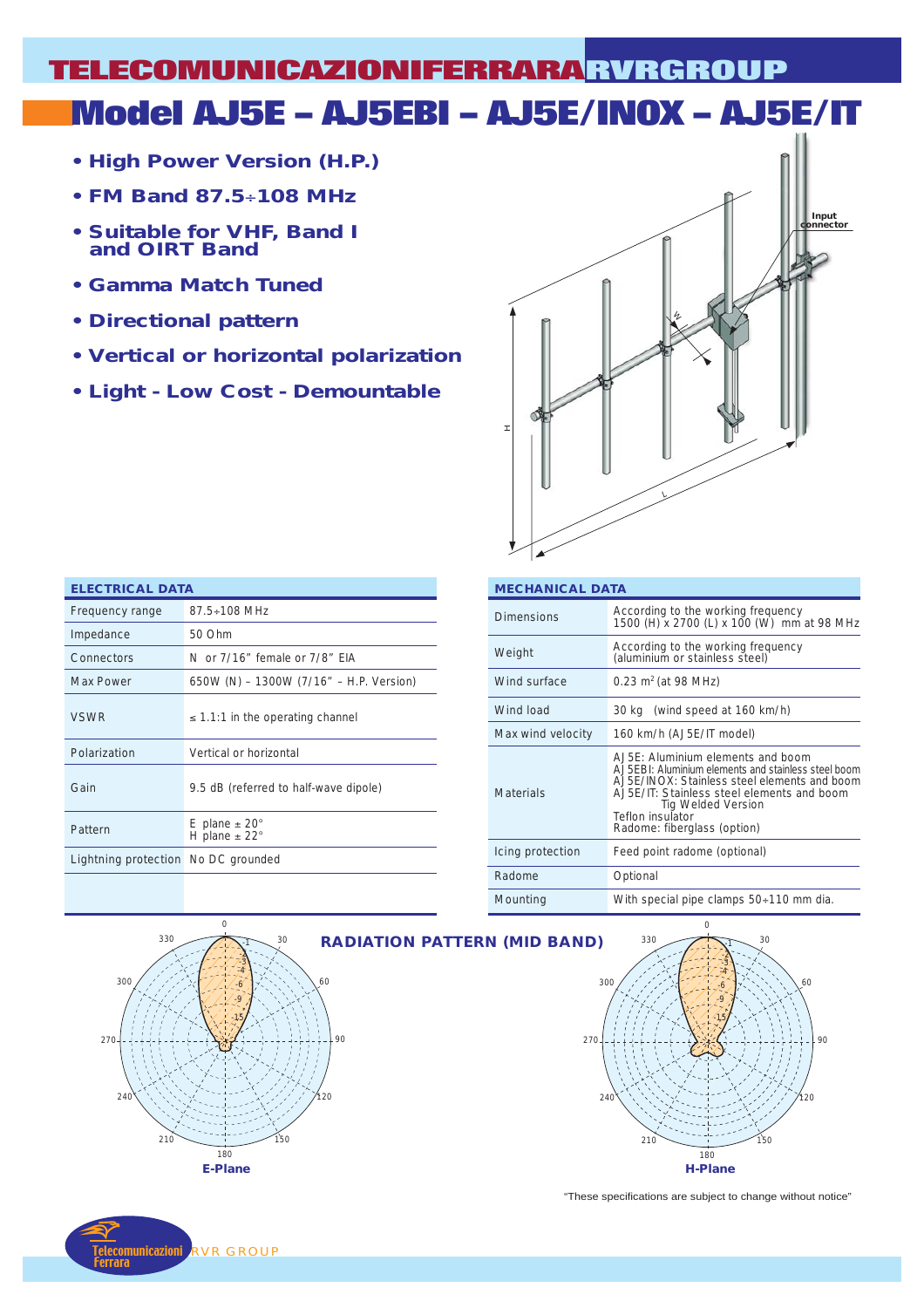# **Model AJ5E – AJ5EBI – AJ5E/INOX – AJ5E/IT TELECOMUNICAZIONIFERRARA RVRGROUP**

- **High Power Version (H.P.)**
- **FM Band 87.5**÷**108 MHz**
- **Suitable for VHF, Band I and OIRT Band**
- **Gamma Match Tuned**
- **Directional pattern**
- **Vertical or horizontal polarization**
- **Light Low Cost Demountable**



| <b>ELECTRICAL DATA</b>                     |                                         |  |  |  |  |
|--------------------------------------------|-----------------------------------------|--|--|--|--|
| Frequency range                            | $87.5 \div 108$ MHz                     |  |  |  |  |
| Impedance                                  | 50 Ohm                                  |  |  |  |  |
| Connectors                                 | N or 7/16" female or 7/8" FIA           |  |  |  |  |
| <b>Max Power</b>                           | 650W (N) - 1300W (7/16" - H.P. Version) |  |  |  |  |
| <b>VSWR</b>                                | $\leq$ 1.1:1 in the operating channel   |  |  |  |  |
| Polarization                               | Vertical or horizontal                  |  |  |  |  |
| Gain                                       | 9.5 dB (referred to half-wave dipole)   |  |  |  |  |
| Pattern                                    | E plane $\pm$ 20°<br>H plane $\pm$ 22°  |  |  |  |  |
| <b>Lightning protection</b> No DC grounded |                                         |  |  |  |  |

| <b>MECHANICAL DATA</b> |                                                                                                                                                                                                                                                                   |  |  |  |  |
|------------------------|-------------------------------------------------------------------------------------------------------------------------------------------------------------------------------------------------------------------------------------------------------------------|--|--|--|--|
| <b>Dimensions</b>      | According to the working frequency<br>1500 (H) x 2700 (L) x 100 (W) mm at 98 MHz                                                                                                                                                                                  |  |  |  |  |
| Weight                 | According to the working frequency<br>(aluminium or stainless steel)                                                                                                                                                                                              |  |  |  |  |
| Wind surface           | 0.23 $m^2$ (at 98 MHz)                                                                                                                                                                                                                                            |  |  |  |  |
| Wind load              | 30 kg (wind speed at 160 km/h)                                                                                                                                                                                                                                    |  |  |  |  |
| Max wind velocity      | 160 km/h (AJ5E/IT model)                                                                                                                                                                                                                                          |  |  |  |  |
| <b>Materials</b>       | A.J5E: Aluminium elements and boom<br>A.J5EBI: Aluminium elements and stainless steel boom<br>AJ5E/INOX: Stainless steel elements and boom<br>AJ5E/IT: Stainless steel elements and boom<br>Tig Welded Version<br>Teflon insulator<br>Radome: fiberglass (option) |  |  |  |  |
| Icing protection       | Feed point radome (optional)                                                                                                                                                                                                                                      |  |  |  |  |
| Radome                 | Optional                                                                                                                                                                                                                                                          |  |  |  |  |
| Mounting               | With special pipe clamps 50÷110 mm dia.                                                                                                                                                                                                                           |  |  |  |  |





"These specifications are subject to change without notice"